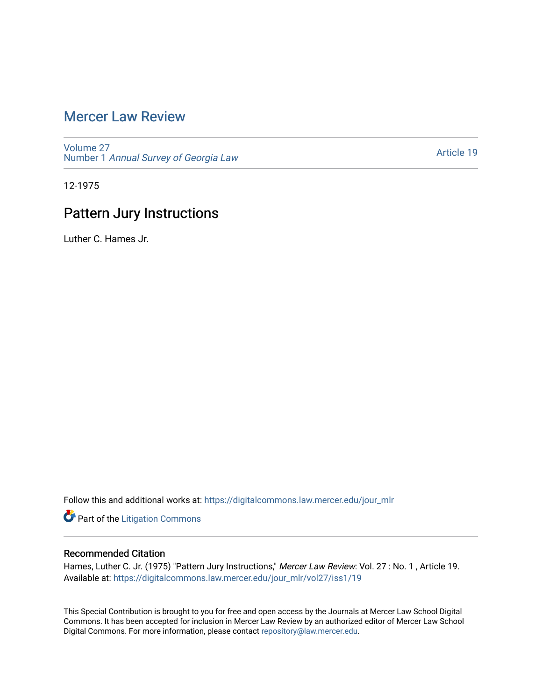## [Mercer Law Review](https://digitalcommons.law.mercer.edu/jour_mlr)

[Volume 27](https://digitalcommons.law.mercer.edu/jour_mlr/vol27) Number 1 [Annual Survey of Georgia Law](https://digitalcommons.law.mercer.edu/jour_mlr/vol27/iss1) 

[Article 19](https://digitalcommons.law.mercer.edu/jour_mlr/vol27/iss1/19) 

12-1975

# Pattern Jury Instructions

Luther C. Hames Jr.

Follow this and additional works at: [https://digitalcommons.law.mercer.edu/jour\\_mlr](https://digitalcommons.law.mercer.edu/jour_mlr?utm_source=digitalcommons.law.mercer.edu%2Fjour_mlr%2Fvol27%2Fiss1%2F19&utm_medium=PDF&utm_campaign=PDFCoverPages)

**Part of the [Litigation Commons](http://network.bepress.com/hgg/discipline/910?utm_source=digitalcommons.law.mercer.edu%2Fjour_mlr%2Fvol27%2Fiss1%2F19&utm_medium=PDF&utm_campaign=PDFCoverPages)** 

### Recommended Citation

Hames, Luther C. Jr. (1975) "Pattern Jury Instructions," Mercer Law Review: Vol. 27 : No. 1, Article 19. Available at: [https://digitalcommons.law.mercer.edu/jour\\_mlr/vol27/iss1/19](https://digitalcommons.law.mercer.edu/jour_mlr/vol27/iss1/19?utm_source=digitalcommons.law.mercer.edu%2Fjour_mlr%2Fvol27%2Fiss1%2F19&utm_medium=PDF&utm_campaign=PDFCoverPages) 

This Special Contribution is brought to you for free and open access by the Journals at Mercer Law School Digital Commons. It has been accepted for inclusion in Mercer Law Review by an authorized editor of Mercer Law School Digital Commons. For more information, please contact [repository@law.mercer.edu](mailto:repository@law.mercer.edu).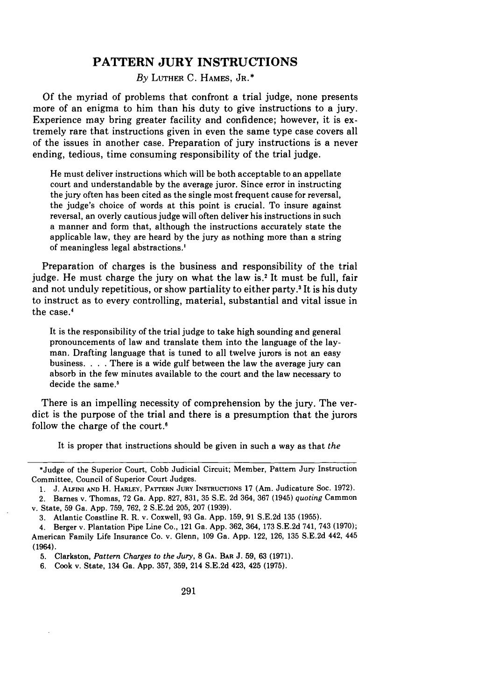### **PATTERN JURY INSTRUCTIONS**

*By* LUTHER **C. HAMES,** JR.\*

**Of** the myriad of problems that confront a trial judge, none presents more of an enigma to him than his duty to give instructions to a jury. Experience may bring greater facility and confidence; however, it is extremely rare that instructions given in even the same type case covers all of the issues in another case. Preparation of jury instructions is a never ending, tedious, time consuming responsibility of the trial judge.

He must deliver instructions which will be both acceptable to an appellate court and understandable **by** the average juror. Since error in instructing the jury often has been cited as the single most frequent cause for reversal, the judge's choice of words at this point is crucial. To insure against reversal, an overly cautious judge will often deliver his instructions in such a manner and form that, although the instructions accurately state the applicable law, they are heard **by** the jury as nothing more than a string of meaningless legal abstractions.'

Preparation of charges is the business and responsibility of the trial judge. He must charge the jury on what the law **is' It** must be full, fair and not unduly repetitious, or show partiality to either party.' It is his duty to instruct as to every controlling, material, substantial and vital issue in the case.'

It is the responsibility of the trial judge to take high sounding and general pronouncements of law and translate them into the language of the layman. Drafting language that is tuned to all twelve jurors is not an easy business. . **.** . There is a wide gulf between the law the average jury can absorb in the few minutes available to the court and the law necessary to decide the same.'

There is an impelling necessity of comprehension **by** the jury. The verdict is the purpose of the trial and there is a presumption that the jurors follow the charge of the court.'

It is proper that instructions should be given in such a way as that *the*

5. Clarkston, *Pattern Charges to the Jury,* 8 GA. BAR J. 59, **63** (1971).

6. Cook v. State, 134 Ga. App. 357, 359, 214 S.E.2d 423, 425 (1975).

<sup>\*</sup>Judge of the Superior Court, Cobb Judicial Circuit; Member, Pattern Jury Instruction Committee, Council of Superior Court Judges.

<sup>1.</sup> J. ALFKNI **AND** H. HARLEY, **PATTERN JURY INSTRUCTIONS** 17 (Am. Judicature Soc. 1972). 2. Barnes v. Thomas, **72** Ga. **App. 827, 831, 35 S.E. 2d** 364, **367** (1945) *quoting* Cammon v. State, **59** Ga. **App. 759, 762,** 2 **S.E.2d 205, 207 (1939).**

**<sup>3.</sup>** Atlantic Coastline R. R. v. Coxwell, **93** Ga. **App. 159, 91 S.E.2d 135 (1955).**

<sup>4.</sup> Berger v. Plantation Pipe Line Co., 121 Ga. **App. 362,** 364, **173 S.E.2d** 741, 743 **(1970);** American Family Life Insurance Co. v. Glenn, **109** Ga. **App.** 122, **126, 135 S.E.2d** 442, 445 (1964).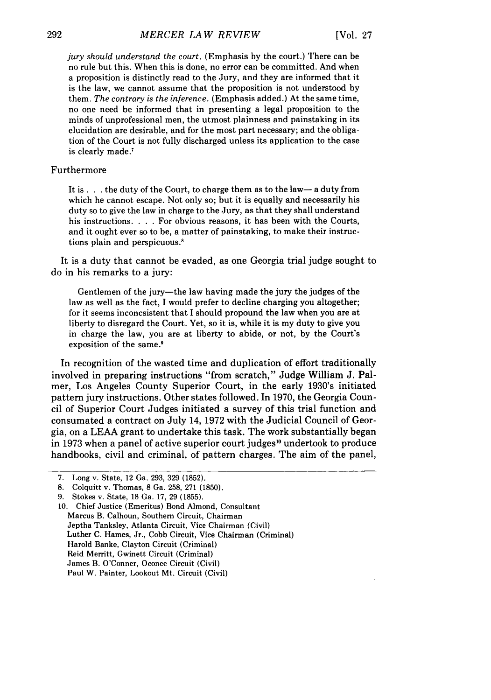*jury should understand the court.* (Emphasis by the court.) There can be no rule but this. When this is done, no error can be committed. And when a proposition is distinctly read to the Jury, and they are informed that it is the law, we cannot assume that the proposition is not understood by them. *The contrary is the inference.* (Emphasis added.) At the same time, no one need be informed that in presenting a legal proposition to the minds of unprofessional men, the utmost plainness and painstaking in its elucidation are desirable, and for the most part necessary; and the obligation of the Court is not fully discharged unless its application to the case is clearly made.7

#### Furthermore

It is. . . the duty of the Court, to charge them as to the law-a duty from which he cannot escape. Not only so; but it is equally and necessarily his duty so to give the law in charge to the Jury, as that they shall understand his instructions. . **.** . For obvious reasons, it has been with the Courts, and it ought ever so to be, a matter of painstaking, to make their instructions plain and perspicuous.<sup>8</sup>

It is a duty that cannot be evaded, as one Georgia trial judge sought to do in his remarks to a jury:

Gentlemen of the jury-the law having made the jury the judges of the law as well as the fact, I would prefer to decline charging you altogether; for it seems inconcsistent that I should propound the law when you are at liberty to disregard the Court. Yet, so it is, while it is my duty to give you in charge the law, you are at liberty to abide, or not, by the Court's exposition of the same.<sup>9</sup>

In recognition of the wasted time and duplication of effort traditionally involved in preparing instructions "from scratch," Judge William J. Palmer, Los Angeles County Superior Court, in the early 1930's initiated pattern jury instructions. Other states followed. In 1970, the Georgia Council of Superior Court Judges initiated a survey of this trial function and consumated a contract on July 14, 1972 with the Judicial Council of Georgia, on a LEAA grant to undertake this task. The work substantially began in 1973 when a panel of active superior court judges<sup>10</sup> undertook to produce handbooks, civil and criminal, of pattern charges. The aim of the panel,

<sup>7.</sup> Long v. State, 12 Ga. 293, 329 (1852).

<sup>8.</sup> Colquitt v. Thomas, 8 Ga. 258, 271 (1850).

<sup>9.</sup> Stokes v. State, 18 Ga. 17, 29 (1855).

<sup>10.</sup> Chief Justice (Emeritus) Bond Almond, Consultant Marcus B. Calhoun, Southern Circuit, Chairman Jeptha Tanksley, Atlanta Circuit, Vice Chairman (Civil) Luther C. Hames, Jr., Cobb Circuit, Vice Chairman (Criminal) Harold Banke, Clayton Circuit (Criminal) Reid Merritt, Gwinett Circuit (Criminal) James B. O'Conner, Oconee Circuit (Civil) Paul W. Painter, Lookout Mt. Circuit (Civil)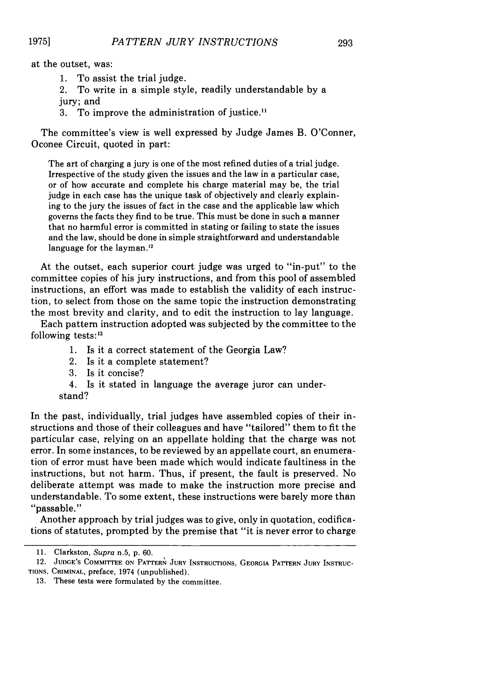at the outset, was:

1. To assist the trial judge.

2. To write in a simple style, readily understandable by a jury; and

3. To improve the administration of justice."

The committee's view is well expressed by Judge James B. O'Conner, Oconee Circuit, quoted in part:

The art of charging a jury is one of the most refined duties of a trial judge. Irrespective of the study given the issues and the law in a particular case, or of how accurate and complete his charge material may be, the trial judge in each case has the unique task of objectively and clearly explaining to the jury the issues of fact in the case and the applicable law which governs the facts they find to be true. This must be done in such a manner that no harmful error is committed in stating or failing to state the issues and the law, should be done in simple straightforward and understandable language for the layman.<sup>12</sup>

At the outset, each superior court judge was urged to "in-put" to the committee copies of his jury instructions, and from this pool of assembled instructions, an effort was made to establish the validity of each instruction, to select from those on the same topic the instruction demonstrating the most brevity and clarity, and to edit the instruction to lay language.

Each pattern instruction adopted was subjected by the committee to the following tests: $13$ 

- 1. Is it a correct statement of the Georgia Law?
- 2. Is it a complete statement?
- 3. Is it concise?

4. Is it stated in language the average juror can understand?

In the past, individually, trial judges have assembled copies of their instructions and those of their colleagues and have "tailored" them to fit the particular case, relying on an appellate holding that the charge was not error. In some instances, to be reviewed by an appellate court, an enumeration of error must have been made which would indicate faultiness in the instructions, but not harm. Thus, if present, the fault is preserved. No deliberate attempt was made to make the instruction more precise and understandable. To some extent, these instructions were barely more than "passable."

Another approach by trial judges was to give, only in quotation, codifications of statutes, prompted by the premise that "it is never error to charge

<sup>11.</sup> Clarkston, Supra n.5, p. 60.

<sup>12.</sup> **JUDGE'S** COMMITTEE **ON PATTERN JURY INSTRUCTIONS, GEORGIA** PATTERN **JURY** INSTRUC-**TIONS,** CRIMINAL, preface, 1974 (unpublished).

<sup>13.</sup> These tests were formulated **by** the committee.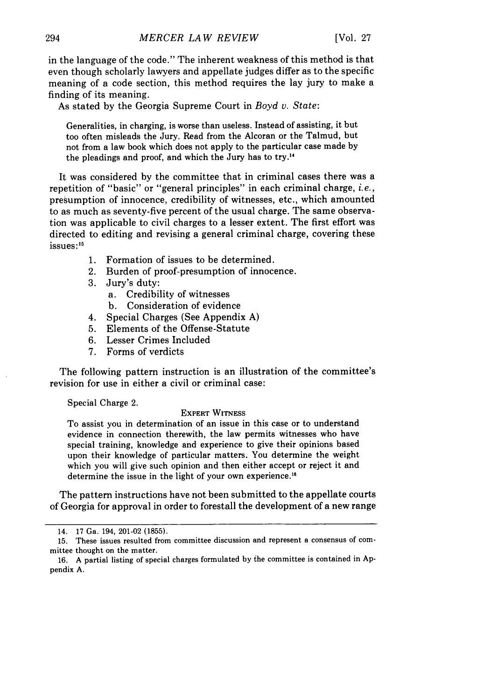in the language of the code." The inherent weakness of this method is that even though scholarly lawyers and appellate judges differ as to the specific meaning of a code section, this method requires the lay jury to make a finding of its meaning.

As stated by the Georgia Supreme Court in *Boyd v. State:*

Generalities, in charging, is worse than useless. Instead of assisting, it but too often misleads the Jury. Read from the Alcoran or the Talmud, but not from a law book which does not apply to the particular case made by the pleadings and proof, and which the Jury has to try.<sup>14</sup>

It was considered by the committee that in criminal cases there was a repetition of "basic" or "general principles" in each criminal charge, *i.e.,* presumption of innocence, credibility of witnesses, etc., which amounted to as much as seventy-five percent of the usual charge. The same observation was applicable to civil charges to a lesser extent. The first effort was directed to editing and revising a general criminal charge, covering these issues:<sup>15</sup>

- 1. Formation of issues to be determined.
- 2. Burden of proof-presumption of innocence.
- 3. Jury's duty:
	- a. Credibility of witnesses
	- b. Consideration of evidence
- 4. Special Charges (See Appendix A)
- 5. Elements of the Offense-Statute
- 6. Lesser Crimes Included
- 7. Forms of verdicts

The following pattern instruction is an illustration of the committee's revision for use in either a civil or criminal case:

Special Charge 2.

#### EXPERT **WITNESS**

To assist you in determination of an issue in this case or to understand evidence in connection therewith, the law permits witnesses who have special training, knowledge and experience to give their opinions based upon their knowledge of particular matters. You determine the weight which you will give such opinion and then either accept or reject it and determine the issue in the light of your own experience."

The pattern instructions have not been submitted to the appellate courts of Georgia for approval in order to forestall the development of a new range

<sup>14. 17</sup> Ga. 194, 201-02 (1855).

<sup>15.</sup> These issues resulted from committee discussion and represent a consensus of committee thought on the matter.

<sup>16.</sup> A partial listing of special charges formulated by the committee is contained in Appendix A.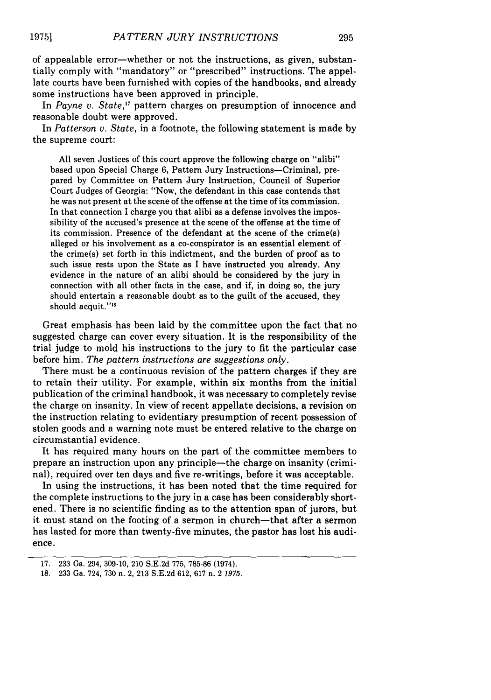of appealable error-whether or not the instructions, as given, substantially comply with "mandatory" or "prescribed" instructions. The appellate courts have been furnished with copies of the handbooks, and already some instructions have been approved in principle.

In *Payne v. State,'7* pattern charges on presumption of innocence and reasonable doubt were approved.

In *Patterson v. State,* in a footnote, the following statement is made by the supreme court:

All seven Justices of this court approve the following charge on "alibi" based upon Special Charge 6, Pattern Jury Instructions-Criminal, prepared by Committee on Pattern Jury Instruction, Council of Superior Court Judges of Georgia: "Now, the defendant in this case contends that he was not present at the scene of the offense at the time of its commission. In that connection I charge you that alibi as a defense involves the impossibility of the accused's presence at the scene of the offense at the time of its commission. Presence of the defendant at the scene of the crime(s) alleged or his involvement as a co-conspirator is an essential element of the crime(s) set forth in this indictment, and the burden of proof as to such issue rests upon the State as I have instructed you already. Any evidence in the nature of an alibi should be considered by the jury in connection with all other facts in the case, and if, in doing so, the jury should entertain a reasonable doubt as to the guilt of the accused, they should acquit."<sup>18</sup>

Great emphasis has been laid by the committee upon the fact that no suggested charge can cover every situation. It is the responsibility of the trial judge to mold his instructions to the jury to fit the particular case before him. *The pattern instructions are suggestions only.*

There must be a continuous revision of the pattern charges if they are to retain their utility. For example, within six months from the initial publication of the criminal handbook, it was necessary to completely revise the charge on insanity. In view of recent appellate decisions, a revision on the instruction relating to evidentiary presumption of recent possession of stolen goods and a warning note must be entered relative to the charge on circumstantial evidence.

It has required many hours on the part of the committee members to prepare an instruction upon any principle-the charge on insanity (criminal), required over ten days and five re-writings, before it was acceptable.

In using the instructions, it has been noted that the time required for the complete instructions to the jury in a case has been considerably shortened. There is no scientific finding as to the attention span of jurors, but it must stand on the footing of a sermon in church-that after a sermon has lasted for more than twenty-five minutes, the pastor has lost his audience.

<sup>17. 233</sup> Ga. 294, 309-10, 210 S.E.2d 775, 785-86 (1974).

<sup>18. 233</sup> Ga. 724, 730 n. 2, 213 S.E.2d 612, 617 n. 2 1975.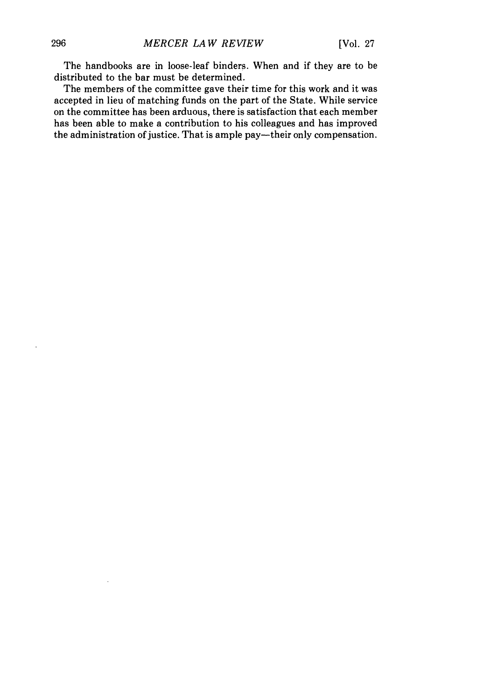The handbooks are in loose-leaf binders. When and if they are to be distributed to the bar must be determined.

The members of the committee gave their time for this work and it was accepted in lieu of matching funds on the part of the State. While service on the committee has been arduous, there is satisfaction that each member has been able to make a contribution to his colleagues and has improved the administration of justice. That is ample pay-their only compensation.